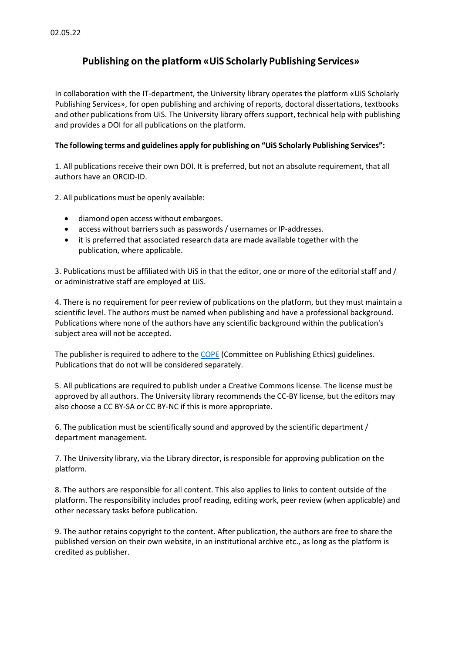## **Publishing on the platform «UiS Scholarly Publishing Services»**

In collaboration with the IT-department, the University library operates the platform «UiS Scholarly Publishing Services», for open publishing and archiving of reports, doctoral dissertations, textbooks and other publications from UiS. The University library offers support, technical help with publishing and provides a DOI for all publications on the platform.

## **The following terms and guidelines apply for publishing on "UiS Scholarly Publishing Services":**

1. All publications receive their own DOI. It is preferred, but not an absolute requirement, that all authors have an ORCID-ID.

2. All publications must be openly available:

- diamond open access without embargoes.
- access without barriers such as passwords / usernames or IP-addresses.
- it is preferred that associated research data are made available together with the publication, where applicable.

3. Publications must be affiliated with UiS in that the editor, one or more of the editorial staff and / or administrative staff are employed at UiS.

4. There is no requirement for peer review of publications on the platform, but they must maintain a scientific level. The authors must be named when publishing and have a professional background. Publications where none of the authors have any scientific background within the publication's subject area will not be accepted.

The publisher is required to adhere to the [COPE](https://publicationethics.org/core-practices/) (Committee on Publishing Ethics) guidelines. Publications that do not will be considered separately.

5. All publications are required to publish under a Creative Commons license. The license must be approved by all authors. The University library recommends the CC-BY license, but the editors may also choose a CC BY-SA or CC BY-NC if this is more appropriate.

6. The publication must be scientifically sound and approved by the scientific department / department management.

7. The University library, via the Library director, is responsible for approving publication on the platform.

8. The authors are responsible for all content. This also applies to links to content outside of the platform. The responsibility includes proof reading, editing work, peer review (when applicable) and other necessary tasks before publication.

9. The author retains copyright to the content. After publication, the authors are free to share the published version on their own website, in an institutional archive etc., as long as the platform is credited as publisher.